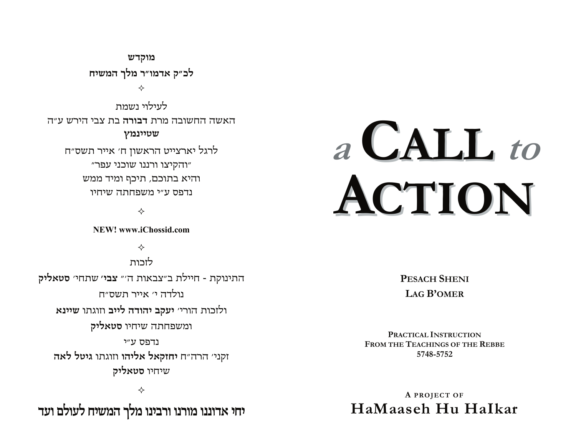מוקדש לכ״ק אדמו״ר מלך המשיח

✧

לעילוי ושמח האשה החשובה מרת **דבורה** בת צבי הירש ע״ה שטיינמץ לרגל יארצייט הראשון ח׳ אייר תשס״ח

"והקיצו ורננו שוכני עפר" והיא בתוכם, תיכף ומיד ממש נדפס ע״י משפחתה שיחיו

✧

NEW! www.iChossid.com

✧

לזכות התינוקת - חיילת ב"צבאות ה'" צבי' שתחי' סטאליק נולדה י׳ אייר תשס״ח ולזכות הורי׳ יעקב יהודה לייב וזוגתו שיינא ומשפחתה שיחיו **סטאליק** נדפס ע״י זקני׳ הרה״ח יחזקאל אליהו וזוגתו גיטל לאה שיחיו סטאליק

❖

יחי אדוננו מורנו ורבינו מלך המשיח לעולם ועד

# a CALL to ACTION

**PESACH SHENI LAG B'OMER** 

PRACTICAL INSTRUCTION FROM THE TEACHINGS OF THE REBBE 5748-5752

A PROJECT OF HaMaaseh Hu Halkar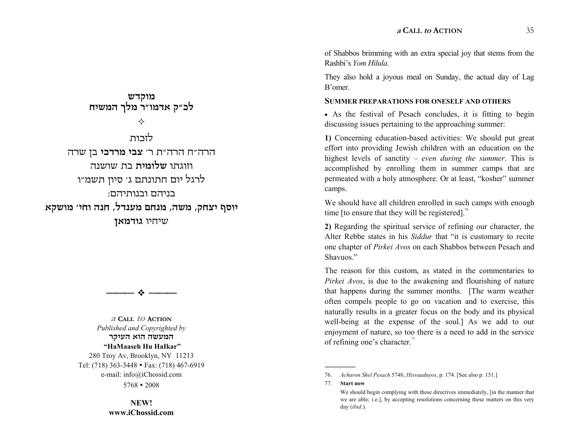of Shabbos brimming with an extra special joy that stems from the Rashbi's Yom Hilula.

They also hold a joyous meal on Sunday, the actual day of Lag B'omer

# **SUMMER PREPARATIONS FOR ONESELF AND OTHERS**

• As the festival of Pesach concludes, it is fitting to begin discussing issues pertaining to the approaching summer:

1) Concerning education-based activities: We should put great effort into providing Jewish children with an education on the highest levels of sanctity – even during the summer. This is accomplished by enrolling them in summer camps that are permeated with a holy atmosphere. Or at least, "kosher" summer camps.

We should have all children enrolled in such camps with enough time [to ensure that they will be registered].<sup>76</sup>

2) Regarding the spiritual service of refining our character, the Alter Rebbe states in his Siddur that "it is customary to recite one chapter of *Pirkei Avos* on each Shabbos between Pesach and Shavuos."

The reason for this custom, as stated in the commentaries to *Pirkei Avos*, is due to the awakening and flourishing of nature that happens during the summer months. [The warm weather often compels people to go on vacation and to exercise, this naturally results in a greater focus on the body and its physical well-being at the expense of the soul.] As we add to our enjoyment of nature, so too there is a need to add in the service of refining one's character.<sup>77</sup>

 $77<sub>1</sub>$ **Start now** 

מוקדש לכ״ק אדמו״ר מלך המשיח ✧ לזכות הרה"ח הרה"ת ר' צבי מרדכי בן שרה וזוגתו **שלומית** בת שושנה לרגל יום חתונתם ג׳ סיון תשמ״ו בניהם ובנותיהם: יוסף יצחק, משה, מנחם מענדל, חנה וחי׳ מושקא שיחיו גודמאן



**A CALL TO ACTION** 

Published and Copyrighted by המעשה הוא העיקר "HaMaaseh Hu HaIkar" 280 Troy Av, Brooklyn, NY 11213 Tel: (718) 363-3448 • Fax: (718) 467-6919 e-mail: info@iChossid.com  $5768 \cdot 2008$ 

> NEW! www.iChossid.com

<sup>76.</sup> Acharon Shel Pesach 5748; Hisvaaduyos, p. 174. [See also p. 151.]

We should begin complying with these directives immediately, [in the manner that we are able; i.e.], by accepting resolutions concerning these matters on this very day (ibid.).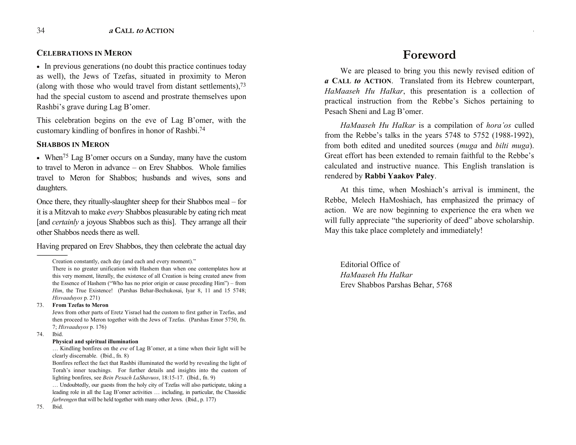# **CELEBRATIONS IN MERON**

• In previous generations (no doubt this practice continues today as well), the Jews of Tzefas, situated in proximity to Meron (along with those who would travel from distant settlements), $73$ had the special custom to ascend and prostrate themselves upon Rashbi's grave during Lag B'omer.

This celebration begins on the eve of Lag B'omer, with the customary kindling of bonfires in honor of Rashbi.74

# **SHABBOS IN MERON**

• When<sup>75</sup> Lag B'omer occurs on a Sunday, many have the custom to travel to Meron in advance – on Erev Shabbos. Whole families travel to Meron for Shabbos; husbands and wives, sons and daughters.

Once there, they ritually-slaughter sheep for their Shabbos meal  $-$  for it is a Mitzvah to make *every* Shabbos pleasurable by eating rich meat [and *certainly* a joyous Shabbos such as this]. They arrange all their other Shabbos needs there as well.

Having prepared on Erev Shabbos, they then celebrate the actual day

#### 73. **From Tzefas to Meron**

Jews from other parts of Eretz Yisrael had the custom to first gather in Tzefas, and then proceed to Meron together with the Jews of Tzefas. (Parshas Emor 5750, fn. 7; *Hisvaaduyos* p. 176)

74. Ibid.

#### **Physical and spiritual illumination**

... Kindling bonfires on the *eve* of Lag B'omer, at a time when their light will be clearly discernable. (Ibid., fn. 8)

Bonfires reflect the fact that Rashbi illuminated the world by revealing the light of Torah's inner teachings. For further details and insights into the custom of lighting bonfires, see *Bein Pesach LaShavuos*, 18:15-17. (Ibid., fn. 9)

 Undoubtedly, our guests from the holy city of Tzefas will also participate, taking a leading role in all the Lag B'omer activities  $\ldots$  including, in particular, the Chassidic *farbrengen* that will be held together with many other Jews. (Ibid., p. 177)

# **Foreword**

**<sup>a</sup> CALL to ACTION** 3

We are pleased to bring you this newly revised edition of *a* **CALL** *to* **ACTION**. Translated from its Hebrew counterpart, *HaMaaseh Hu HaIkar*, this presentation is a collection of practical instruction from the Rebbe's Sichos pertaining to Pesach Sheni and Lag B'omer.

*HaMaaseh Hu HaIkar* is a compilation of *hora'os* culled from the Rebbe's talks in the years  $5748$  to  $5752$  (1988-1992), from both edited and unedited sources (*muga* and *bilti muga*). Great effort has been extended to remain faithful to the Rebbe's calculated and instructive nuance. This English translation is rendered by **Rabbi Yaakov Paley**.

At this time, when Moshiach's arrival is imminent, the Rebbe, Melech HaMoshiach, has emphasized the primacy of action. We are now beginning to experience the era when we will fully appreciate "the superiority of deed" above scholarship. May this take place completely and immediately!

Editorial Office of *HaMaaseh Hu HaIkar*  Erev Shabbos Parshas Behar, 5768

<sup>------------------------------------------------</sup>  Creation constantly, each day (and each and every moment).

There is no greater unification with Hashem than when one contemplates how at this very moment, literally, the existence of all Creation is being created anew from the Essence of Hashem ("Who has no prior origin or cause preceding Him") – from *Him*, the True Existence! (Parshas Behar-Bechukosai, Iyar 8, 11 and 15 5748; *Hisvaaduyos* p. 271)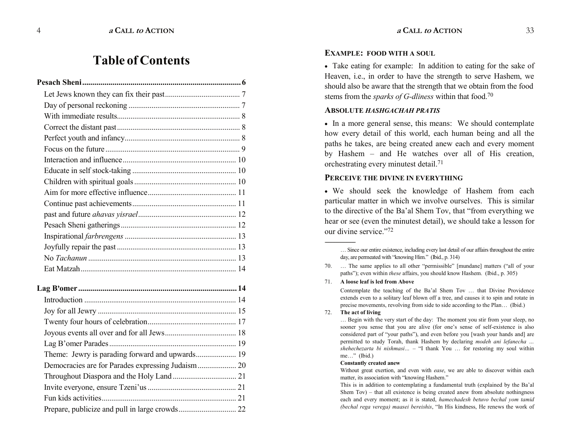# **Table of Contents**

# **EXAMPLE: FOOD WITH A SOUL**

• Take eating for example: In addition to eating for the sake of Heaven, i.e., in order to have the strength to serve Hashem, we should also be aware that the strength that we obtain from the food stems from the *sparks of G-dliness* within that food.70

#### **ABSOLUTE** *HASHGACHAH PRATIS*

• In a more general sense, this means: We should contemplate how every detail of this world, each human being and all the paths he takes, are being created anew each and every moment by Hashem  $-$  and He watches over all of His creation, orchestrating every minutest detail.71

# **PERCEIVE THE DIVINE IN EVERYTHING**

� We should seek the knowledge of Hashem from each particular matter in which we involve ourselves. This is similar to the directive of the Ba'al Shem Tov, that "from everything we hear or see (even the minutest detail), we should take a lesson for our divine service."72

71. **A loose leaf is led from Above**

Contemplate the teaching of the Ba'al Shem Tov ... that Divine Providence extends even to a solitary leaf blown off a tree, and causes it to spin and rotate in precise movements, revolving from side to side according to the Plan ... (Ibid.)

#### 72. **The act of living**

------------------------------------------------

... Begin with the very start of the day: The moment you stir from your sleep, no sooner you sense that you are alive (for one's sense of self-existence is also considered part of "your paths"), and even before you [wash your hands and] are permitted to study Torah, thank Hashem by declaring *modeh ani lefanecha*   $shehechezarta bi nishmasi... - "I thank You ... for restoring my soul within$ me..." (Ibid.)

#### **Constantly created anew**

Without great exertion, and even with *ease*, we are able to discover within each matter, its association with "knowing Hashem."

This is in addition to contemplating a fundamental truth (explained by the Ba'al Shem  $Tov$ ) – that all existence is being created anew from absolute nothingness each and every moment; as it is stated, *hamechadesh betuvo bechal yom tamid (bechal rega verega) maasei bereishis*, "In His kindness, He renews the work of

Since our entire existence, including every last detail of our affairs throughout the entire day, are permeated with "knowing Him." (Ibid., p. 314)

<sup>70. ...</sup> The same applies to all other "permissible" [mundane] matters ("all of your paths"); even within *these* affairs, you should know Hashem. (Ibid., p. 305)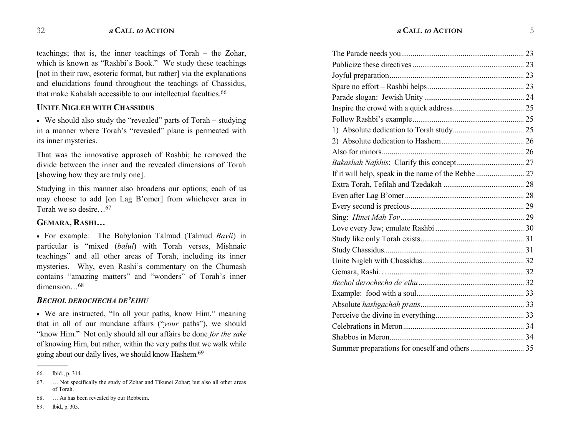teachings; that is, the inner teachings of Torah  $-$  the Zohar, which is known as "Rashbi's Book." We study these teachings [not in their raw, esoteric format, but rather] via the explanations and elucidations found throughout the teachings of Chassidus, that make Kabalah accessible to our intellectual faculties.66

# **UNITE NIGLEH WITH CHASSIDUS**

 $\bullet$  We should also study the "revealed" parts of Torah  $-$  studying in a manner where Torah's "revealed" plane is permeated with its inner mysteries.

That was the innovative approach of Rashbi; he removed the divide between the inner and the revealed dimensions of Torah [showing how they are truly one].

Studying in this manner also broadens our options; each of us may choose to add [on Lag B'omer] from whichever area in Torah we so desire $67$ 

# **GEMARA, RASHI**

� For example: The Babylonian Talmud (Talmud *Bavli*) in particular is "mixed (*balul*) with Torah verses, Mishnaic teachings" and all other areas of Torah, including its inner mysteries. Why, even Rashi's commentary on the Chumash contains "amazing matters" and "wonders" of Torah's inner dimension $68$ 

# **BECHOL DEROCHECHA DE'EIHU**

• We are instructed, "In all your paths, know Him," meaning that in all of our mundane affairs ("*your* paths"), we should "know Him." Not only should all our affairs be done *for the sake* of knowing Him, but rather, within the very paths that we walk while going about our daily lives, we should know Hashem.69

------------------------------------------------

<sup>66.</sup> Ibid., p. 314.

<sup>67.</sup> Not specifically the study of Zohar and Tikunei Zohar; but also all other areas of Torah.

<sup>68. ...</sup> As has been revealed by our Rebbeim.

<sup>69.</sup> Ibid., p. 305.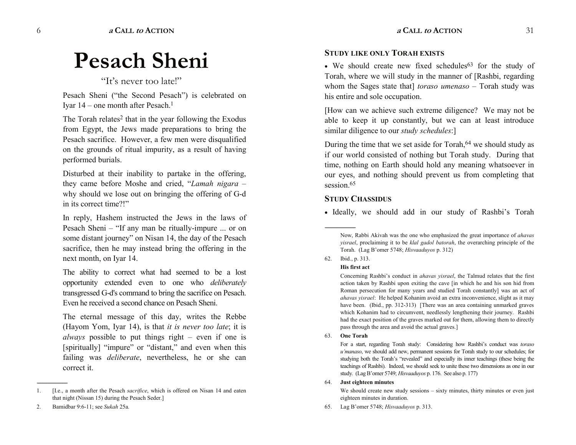# **Pesach Sheni**

# "It's never too late!"

Pesach Sheni ("the Second Pesach") is celebrated on Iyar  $14$  – one month after Pesach.<sup>1</sup>

The Torah relates<sup>2</sup> that in the year following the Exodus from Egypt, the Jews made preparations to bring the Pesach sacrifice. However, a few men were disqualified on the grounds of ritual impurity, as a result of having performed burials.

Disturbed at their inability to partake in the offering, they came before Moshe and cried, "Lamah nigara – why should we lose out on bringing the offering of G-d in its correct time?!"

In reply, Hashem instructed the Jews in the laws of Pesach Sheni  $-$  "If any man be ritually-impure ... or on some distant journey" on Nisan 14, the day of the Pesach sacrifice, then he may instead bring the offering in the next month, on Iyar 14.

The ability to correct what had seemed to be a lost opportunity extended even to one who *deliberately*  transgressed G-d's command to bring the sacrifice on Pesach. Even he received a second chance on Pesach Sheni.

The eternal message of this day, writes the Rebbe (Hayom Yom, Iyar 14), is that *it is never too late*; it is *always* possible to put things right  $-$  even if one is [spiritually] "impure" or "distant," and even when this failing was *deliberate*, nevertheless, he or she can correct it.

2. Bamidbar 9:6-11; see *Sukah* 25a.

------------------------------------------------

# **STUDY LIKE ONLY TORAH EXISTS**

• We should create new fixed schedules<sup>63</sup> for the study of Torah, where we will study in the manner of [Rashbi, regarding whom the Sages state that] *toraso umenaso* - Torah study was his entire and sole occupation.

[How can we achieve such extreme diligence? We may not be able to keep it up constantly, but we can at least introduce similar diligence to our *study schedules*:]

During the time that we set aside for Torah,<sup>64</sup> we should study as if our world consisted of nothing but Torah study. During that time, nothing on Earth should hold any meaning whatsoever in our eyes, and nothing should prevent us from completing that session.<sup>65</sup>

# **STUDY CHASSIDUS**

• Ideally, we should add in our study of Rashbi's Torah

62. Ibid., p. 313.

------------------------------------------------

# **His first act**

Concerning Rashbi's conduct in *ahavas yisrael*, the Talmud relates that the first action taken by Rashbi upon exiting the cave [in which he and his son hid from Roman persecution for many years and studied Torah constantly] was an act of *ahavas yisrael*: He helped Kohanim avoid an extra inconvenience, slight as it may have been. (Ibid., pp. 312-313) [There was an area containing unmarked graves which Kohanim had to circumvent, needlessly lengthening their journey. Rashbi had the exact position of the graves marked out for them, allowing them to directly pass through the area and avoid the actual graves.]

#### 63. **One Torah**

For a start, regarding Torah study: Considering how Rashbi's conduct was *toraso umanaso*, we should add new, permanent sessions for Torah study to our schedules; for studying both the Torah's "revealed" and especially its inner teachings (these being the teachings of Rashbi). Indeed, we should seek to unite these two dimensions as one in our study. (Lag B'omer 5749; *Hisvaaduyos* p. 176. See also p. 177)

#### 64. **Just eighteen minutes**

We should create new study sessions - sixty minutes, thirty minutes or even just eighteen minutes in duration.

65. Lag B'omer 5748; *Hisvaaduyos* p. 313.

<sup>1. [</sup>I.e., a month after the Pesach *sacrifice*, which is offered on Nisan 14 and eaten that night (Nissan 15) during the Pesach Seder.]

Now, Rabbi Akivah was the one who emphasized the great importance of *ahavas yisrael*, proclaiming it to be *klal gadol batorah*, the overarching principle of the Torah. (Lag B'omer 5748; *Hisvaaduyos* p. 312)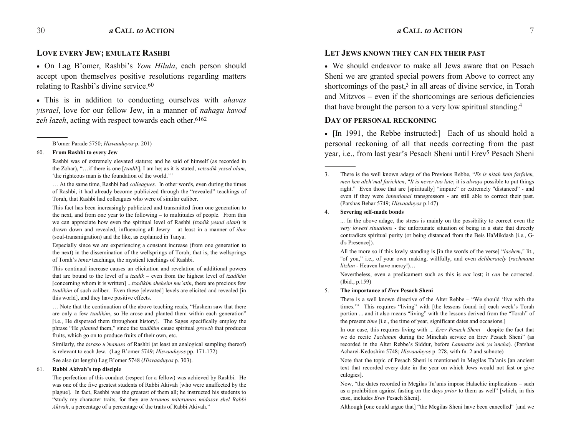# **LOVE EVERY JEW; EMULATE RASHBI**

• On Lag B'omer, Rashbi's *Yom Hilula*, each person should accept upon themselves positive resolutions regarding matters relating to Rashbi's divine service.<sup>60</sup>

� This is in addition to conducting ourselves with *ahavas yisrael*, love for our fellow Jew, in a manner of *nahagu kavod zeh lazeh*, acting with respect towards each other.<sup>6162</sup>

#### 60. **From Rashbi to every Jew**

------------------------------------------------

Rashbi was of extremely elevated stature; and he said of himself (as recorded in the Zohar), "...if there is one [*tzadik*], I am he; as it is stated, *vetzadik yesod olam*, 'the righteous man is the foundation of the world.'''

 At the same time, Rashbi had *colleagues*. In other words, even during the times of Rashbi, it had already become publicized through the "revealed" teachings of Torah, that Rashbi had colleagues who were of similar caliber.

This fact has been increasingly publicized and transmitted from one generation to the next, and from one year to the following  $-$  to multitudes of people. From this we can appreciate how even the spiritual level of Rashbi (*tzadik yesod olam*) is drawn down and revealed, influencing all Jewry - at least in a manner of *ibur* (soul-transmigration) and the like, as explained in Tanya.

Especially since we are experiencing a constant increase (from one generation to the next) in the dissemination of the wellsprings of Torah; that is, the wellsprings of Torah's *inner* teachings, the mystical teachings of Rashbi.

This continual increase causes an elicitation and revelation of additional powers that are bound to the level of a *tzadik* – even from the highest level of *tzadikim* [concerning whom it is written] ...*tzadikim sheheim mu'atin*, there are precious few *tzadikim* of such caliber. Even these [elevated] levels are elicited and revealed [in this world], and they have positive effects.

... Note that the continuation of the above teaching reads, "Hashem saw that there are only a few *tzadikim*, so He arose and planted them within each generation [i.e., He dispersed them throughout history]. The Sages specifically employ the phrase "He *planted* them," since the *tzadikim* cause spiritual *growth* that produces fruits, which go on to produce fruits of their own, etc.

Similarly, the *toraso u'manaso* of Rashbi (at least an analogical sampling thereof) is relevant to each Jew. (Lag B'omer 5749; *Hisvaaduyos* pp. 171-172)

See also (at length) Lag B'omer 5748 (*Hisvaaduyos* p. 303).

#### 61. **Rabbi Akivah's top disciple**

The perfection of this conduct (respect for a fellow) was achieved by Rashbi. He was one of the five greatest students of Rabbi Akivah [who were unaffected by the plague]. In fact, Rashbi was the greatest of them all; he instructed his students to study my character traits, for they are *terumos miterumos midosov shel Rabbi Akivah*, a percentage of a percentage of the traits of Rabbi Akivah.

# **LET JEWS KNOWN THEY CAN FIX THEIR PAST**

• We should endeavor to make all Jews aware that on Pesach Sheni we are granted special powers from Above to correct any shortcomings of the past, $3$  in all areas of divine service, in Torah and Mitzvos – even if the shortcomings are serious deficiencies that have brought the person to a very low spiritual standing.4

# **DAY OF PERSONAL RECKONING**

• [In 1991, the Rebbe instructed:] Each of us should hold a personal reckoning of all that needs correcting from the past year, i.e., from last year's Pesach Sheni until Erev<sup>5</sup> Pesach Sheni

#### 4. **Severing self-made bonds**

------------------------------------------------

... In the above adage, the stress is mainly on the possibility to correct even the *very lowest situations* - the unfortunate situation of being in a state that directly contradicts spiritual purity (or being distanced from the Beis HaMikdash [i.e., Gd's Presence]).

All the more so if this lowly standing is [in the words of the verse] "*lachem*," lit., "of you," i.e., of your own making, willfully, and even *deliberately* (*rachmana litzlan* - Heaven have mercy!)

Nevertheless, even a predicament such as this is *not* lost; it *can* be corrected. (Ibid., p.159)

# 5. **The importance of** *Erev* **Pesach Sheni**

There is a well known directive of the Alter Rebbe  $-$  "We should 'live with the times." This requires "living" with [the lessons found in] each week's Torah portion ... and it also means "living" with the lessons derived from the "Torah" of the present *time* [i.e., the time of year, significant dates and occasions.]

In our case, this requires living with ... *Erev Pesach Sheni* – despite the fact that we do recite *Tachanun* during the Minchah service on Erev Pesach Sheni" (as recorded in the Alter Rebbe's Siddur, before *Lamnatze'ach ya'ancha*). (Parshas Acharei-Kedoshim 5748; *Hisvaaduyos* p. 278, with fn. 2 and subnote)

Note that the topic of Pesach Sheni is mentioned in Megilas Ta'anis [an ancient text that recorded every date in the year on which Jews would not fast or give eulogies].

Now, "the dates recorded in Megilas Ta'anis impose Halachic implications - such as a prohibition against fasting on the days *prior* to them as well" [which, in this case, includes *Erev* Pesach Sheni].

Although [one could argue that] "the Megilas Sheni have been cancelled" [and we

B'omer Parade 5750; *Hisvaaduyos* p. 201)

<sup>3.</sup> There is the well known adage of the Previous Rebbe, *Es is nitah kein farfalen, men ken aleh'mal farichten, "It is never too late; it is <i>always* possible to put things right." Even those that are [spiritually] "impure" or extremely "distanced" - and even if they were *intentional* transgressors - are still able to correct their past. (Parshas Behar 5749; *Hisvaaduyos* p.147)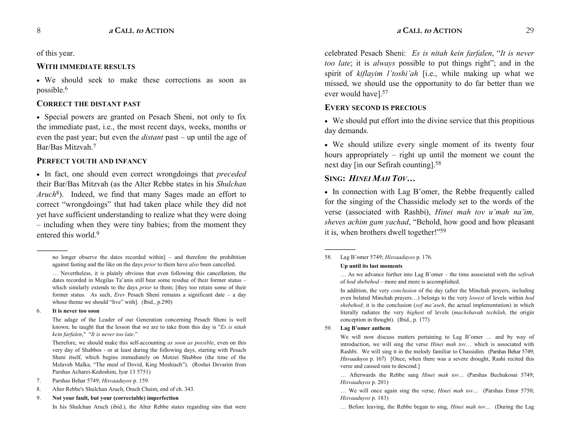of this year.

# **WITH IMMEDIATE RESULTS**

� We should seek to make these corrections as soon as possible.6

# **CORRECT THE DISTANT PAST**

• Special powers are granted on Pesach Sheni, not only to fix the immediate past, i.e., the most recent days, weeks, months or even the past year; but even the *distant* past – up until the age of Bar/Bas Mitzvah.7

# **PERFECT YOUTH AND INFANCY**

� In fact, one should even correct wrongdoings that *preceded* their Bar/Bas Mitzvah (as the Alter Rebbe states in his *Shulchan Aruch*8). Indeed, we find that many Sages made an effort to correct "wrongdoings" that had taken place while they did not yet have sufficient understanding to realize what they were doing  $\overline{\phantom{a}}$  including when they were tiny babies; from the moment they entered this world.9

------------------------------------------------

In his Shulchan Aruch (ibid.), the Alter Rebbe states regarding sins that were

celebrated Pesach Sheni: *Es is nitah kein farfalen*, "It is never *too late*; it is *always* possible to put things right"; and in the spirit of *kiflayim l'toshi'ah* [i.e., while making up what we missed, we should use the opportunity to do far better than we ever would have].57

# **EVERY SECOND IS PRECIOUS**

• We should put effort into the divine service that this propitious day demands.

� We should utilize every single moment of its twenty four hours appropriately  $-$  right up until the moment we count the next day [in our Sefirah counting].58

# **SING:** *HINEI MAH TOV*

• In connection with Lag B'omer, the Rebbe frequently called for the singing of the Chassidic melody set to the words of the verse (associated with Rashbi), *Hinei mah tov u'mah na'im*, sheves achim gam yachad, "Behold, how good and how pleasant it is, when brothers dwell together!"<sup>59</sup>

# 58. Lag B'omer 5749; *Hisvaaduyos* p. 176.

#### **Up until its last moments**

In addition, the very *conclusion* of the day (after the Minchah prayers, including even belated Minchah prayers...) belongs to the very *lowest* of levels within *hod shebehod*; it is the conclusion (*sof ma'aseh*, the actual implementation) in which literally radiates the very *highest* of levels (*machshavah techilah*, the origin conception in thought). (Ibid., p. 177)

59. **Lag B'omer anthem** 

------------------------------------------------

We will now discuss matters pertaining to Lag B'omer ... and by way of introduction, we will sing the verse *Hinei mah tov* ... which is associated with Rashbi. We will sing it in the melody familiar to Chassidim. (Parshas Behar 5749; *Hisvaaduyos* p. 167) [Once, when there was a severe drought, Rashi recited this verse and caused rain to descend.]

... Afterwards the Rebbe sang *Hinei mah tov...* (Parshas Bechukosai 5749; *Hisvaaduyos* p. 201)

... We will once again sing the verse, *Hinei mah tov* ... (Parshas Emor 5750; *Hisvaaduyos* p. 183)

... Before leaving, the Rebbe began to sing, *Hinei mah tov...* (During the Lag

no longer observe the dates recorded within]  $-$  and therefore the prohibition against fasting and the like on the days *prior* to them have *also* been cancelled.

<sup>...</sup> Nevertheless, it is plainly obvious that even following this cancellation, the dates recorded in Megilas Ta'anis still bear some residue of their former status which similarly extends to the days *prior* to them; [they too retain some of their former status. As such, *Erev* Pesach Sheni remains a significant date - a day whose theme we should "live" with]. (Ibid.,  $p.290$ )

<sup>6.</sup> **It is never too soon**

The adage of the Leader of our Generation concerning Pesach Sheni is well known; he taught that the lesson that we are to take from this day is "*Es is nitah kein farfalen*," *It is never too late*.

Therefore, we should make this self-accounting *as soon as possible*, even on this very day of Shabbos - or at least during the following days, starting with Pesach Sheni itself, which begins immediately on Motzei Shabbos (the time of the Melaveh Malka, "The meal of Dovid, King Moshiach"). (Roshei Devarim from Parshas Acharei-Kedoshim, Iyar 13 5751)

<sup>7.</sup> Parshas Behar 5749; *Hisvaaduyos* p. 159*.*

<sup>8.</sup> Alter Rebbe's Shulchan Aruch, Orach Chaim, end of ch. 343.

<sup>9.</sup> **Not your fault, but your (correctable) imperfection**

<sup>...</sup> As we advance further into Lag B'omer – the time associated with the *sefirah* of *hod shebehod* - more and more is accomplished.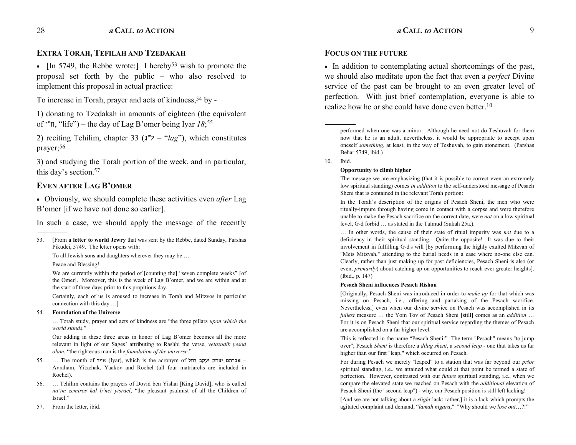# **EXTRA TORAH, TEFILAH AND TZEDAKAH**

• [In 5749, the Rebbe wrote:] I hereby<sup>53</sup> wish to promote the proposal set forth by the public – who also resolved to implement this proposal in actual practice:

To increase in Torah, prayer and acts of kindness, 54 by -

1) donating to Tzedakah in amounts of eighteen (the equivalent of  $\lceil \cdot \rceil$ , "life") – the day of Lag B'omer being Iyar *18*;<sup>55</sup>

2) reciting Tehilim, chapter  $33 (2^{\degree} - \degree \text{lag}^{\degree})$ , which constitutes prayer;56

3) and studying the Torah portion of the week, and in particular, this day's section.<sup>57</sup>

# **EVEN AFTER LAG B'OMER**

� Obviously, we should complete these activities even *after* Lag B'omer [if we have not done so earlier].

In such a case, we should apply the message of the recently

To all Jewish sons and daughters wherever they may be

Peace and Blessing!

------------------------------------------------

We are currently within the period of [counting the] "seven complete weeks" [of the Omer]. Moreover, this is the week of Lag B'omer, and we are within and at the start of three days prior to this propitious day.

Certainly, each of us is aroused to increase in Torah and Mitzvos in particular connection with this day  $\dots$ ]

#### 54. **Foundation of the Universe**

... Torah study, prayer and acts of kindness are "the three pillars *upon which the world stands*.

Our adding in these three areas in honor of Lag B'omer becomes all the more relevant in light of our Sages' attributing to Rashbi the verse, *vetazadik yesod olam*, "the righteous man is the *foundation of the universe*."

- 55. ... The month of אייר (Iyar), which is the acronym of **אברהם יצחק יעקב רחל** Avraham, Yitzchak, Yaakov and Rochel (all four matriarchs are included in Rochel).
- 56. Tehilim contains the prayers of Dovid ben Yishai [King David], who is called *na'im zemiros kal b'nei yisrael*, "the pleasant psalmist of all the Children of Israel."
- 57. From the letter, ibid.

# **FOCUS ON THE FUTURE**

• In addition to contemplating actual shortcomings of the past, we should also meditate upon the fact that even a *perfect* Divine service of the past can be brought to an even greater level of perfection. With just brief contemplation, everyone is able to realize how he or she could have done even better.10

----------------------------------------------- performed when one was a minor: Although he need not do Teshuvah for them now that he is an adult, nevertheless, it would be appropriate to accept upon oneself *something*, at least, in the way of Teshuvah, to gain atonement. (Parshas Behar 5749, ibid.)

#### 10. Ibid.

#### **Opportunity to climb higher**

The message we are emphasizing (that it is possible to correct even an extremely low spiritual standing) comes *in addition* to the self-understood message of Pesach Sheni that is contained in the relevant Torah portion:

In the Torah's description of the origins of Pesach Sheni, the men who were ritually-impure through having come in contact with a corpse and were therefore unable to make the Pesach sacrifice on the correct date, were *not* on a low spiritual level, G-d forbid ... as stated in the Talmud (Sukah 25a.).

... In other words, the cause of their state of ritual impurity was *not* due to a deficiency in their spiritual standing. Quite the opposite! It was due to their involvement in fulfilling G-d's will [by performing the highly exalted Mitzvah of "Meis Mitzvah," attending to the burial needs in a case where no-one else can. Clearly, rather than just making up for past deficiencies, Pesach Sheni is also (or even, *primarily*) about catching up on opportunities to reach ever greater heights]. (Ibid., p. 147)

#### **Pesach Sheni influences Pesach Rishon**

[Originally, Pesach Sheni was introduced in order to *make up* for that which was missing on Pesach, i.e., offering and partaking of the Pesach sacrifice. Nevertheless,] even when our divine service on Pesach was accomplished in its *fullest* measure ... the Yom Tov of Pesach Sheni [still] comes as an *addition* ... For it is on Pesach Sheni that our spiritual service regarding the themes of Pesach are accomplished on a far higher level.

This is reflected in the name "Pesach Sheni:" The term "Pesach" means "to jump over"; Pesach *Sheni* is therefore a *dilug sheni*, a *second leap* - one that takes us far higher than our first "leap," which occurred on Pesach.

For during Pesach we merely "leaped" to a station that was far beyond our *prior* spiritual standing, i.e., we attained what could at that point be termed a state of perfection. However, contrasted with our *future* spiritual standing, i.e., when we compare the elevated state we reached on Pesach with the *additional* elevation of Pesach Sheni (the "second leap") - why, our Pesach position is still left lacking!

[And we are not talking about a *slight* lack; rather,] it is a lack which prompts the agitated complaint and demand, "lamah nigara," "Why should we lose out...?!"

<sup>53. [</sup>From **a letter to world Jewry** that was sent by the Rebbe, dated Sunday, Parshas Pikudei, 5749. The letter opens with: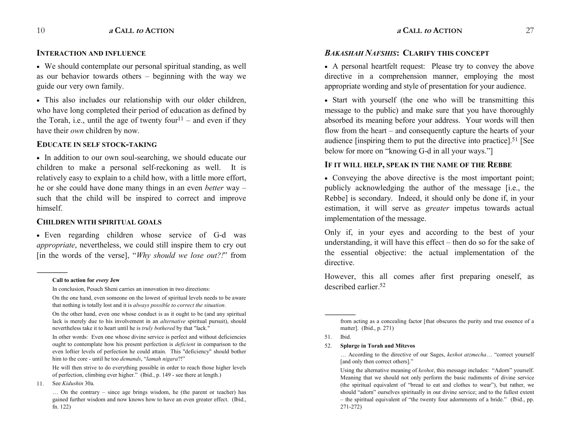# **INTERACTION AND INFLUENCE**

• We should contemplate our personal spiritual standing, as well as our behavior towards others  $-$  beginning with the way we guide our very own family.

� This also includes our relationship with our older children, who have long completed their period of education as defined by the Torah, i.e., until the age of twenty four<sup>11</sup> – and even if they have their *own* children by now.

# **EDUCATE IN SELF STOCK-TAKING**

• In addition to our own soul-searching, we should educate our children to make a personal self-reckoning as well. It is relatively easy to explain to a child how, with a little more effort, he or she could have done many things in an even *better* way such that the child will be inspired to correct and improve himself.

# **CHILDREN WITH SPIRITUAL GOALS**

• Even regarding children whose service of G-d was *appropriate*, nevertheless, we could still inspire them to cry out [in the words of the verse], *"Why should we lose out?!"* from

------------------------------------------------

# *BAKASHAH NAFSHIS***: CLARIFY THIS CONCEPT**

� A personal heartfelt request: Please try to convey the above directive in a comprehension manner, employing the most appropriate wording and style of presentation for your audience.

• Start with yourself (the one who will be transmitting this message to the public) and make sure that you have thoroughly absorbed its meaning before your address. Your words will then flow from the heart  $-$  and consequently capture the hearts of your audience [inspiring them to put the directive into practice].51 [See below for more on "knowing G-d in all your ways."

# **IF IT WILL HELP, SPEAK IN THE NAME OF THE REBBE**

• Conveying the above directive is the most important point; publicly acknowledging the author of the message [i.e., the Rebbe] is secondary. Indeed, it should only be done if, in your estimation, it will serve as *greater* impetus towards actual implementation of the message.

Only if, in your eyes and according to the best of your understanding, it will have this effect  $-$  then do so for the sake of the essential objective: the actual implementation of the directive.

However, this all comes after first preparing oneself, as described earlier<sup>52</sup>

------------------------------------------------

**Call to action for** *every* **Jew** 

In conclusion, Pesach Sheni carries an innovation in two directions:

On the one hand, even someone on the lowest of spiritual levels needs to be aware that nothing is totally lost and it is *always possible to correct the situation*.

On the other hand, even one whose conduct is as it ought to be (and any spiritual lack is merely due to his involvement in an *alternative* spiritual pursuit), should nevertheless take it to heart until he is *truly bothered* by that "lack."

In other words: Even one whose divine service is perfect and without deficiencies ought to contemplate how his present perfection is *deficient* in comparison to the even loftier levels of perfection he could attain. This "deficiency" should bother him to the core - until he too *demands*, "lamah nigara?!"

He will then strive to do everything possible in order to reach those higher levels of perfection, climbing ever higher." (Ibid.,  $p. 149$  - see there at length.)

<sup>11</sup>. See *Kidushin* 30a.

 $\ldots$  On the contrary – since age brings wisdom, he (the parent or teacher) has gained further wisdom and now knows how to have an even greater effect. (Ibid., fn. 122)

from acting as a concealing factor [that obscures the purity and true essence of a matter]. (Ibid., p. 271)

<sup>51.</sup> Ibid.

<sup>52.</sup> **Splurge in Torah and Mitzvos**

<sup>...</sup> According to the directive of our Sages, *keshot atzmecha*... "correct yourself [and only then correct others]."

Using the alternative meaning of *keshot*, this message includes: "Adorn" yourself. Meaning that we should not only perform the basic rudiments of divine service (the spiritual equivalent of "bread to eat and clothes to wear"), but rather, we should "adorn" ourselves spiritually in our divine service; and to the fullest extent  $-$  the spiritual equivalent of "the twenty four adornments of a bride." (Ibid., pp. 271-272)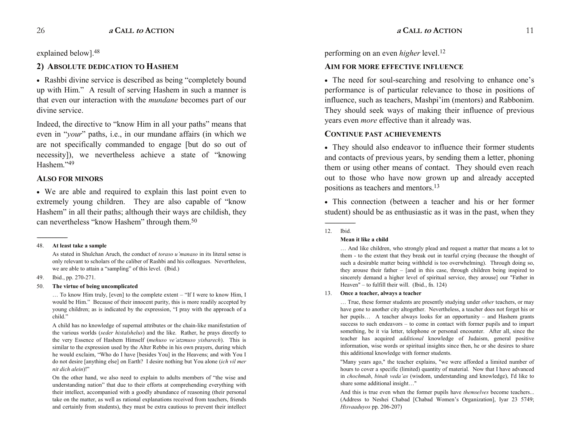explained below].48

# **2) ABSOLUTE DEDICATION TO HASHEM**

• Rashbi divine service is described as being "completely bound" up with Him." A result of serving Hashem in such a manner is that even our interaction with the *mundane* becomes part of our divine service.

Indeed, the directive to "know Him in all your paths" means that even in "*your*" paths, i.e., in our mundane affairs (in which we are not specifically commanded to engage [but do so out of necessity]), we nevertheless achieve a state of "knowing" Hashem<sup>"49</sup>

# **ALSO FOR MINORS**

• We are able and required to explain this last point even to extremely young children. They are also capable of "know" Hashem" in all their paths; although their ways are childish, they can nevertheless "know Hashem" through them.<sup>50</sup>

#### 48. **At least take a sample**

As stated in Shulchan Aruch, the conduct of *toraso u'manaso* in its literal sense is only relevant to scholars of the caliber of Rashbi and his colleagues. Nevertheless, we are able to attain a "sampling" of this level. (Ibid.)

49. Ibid., pp. 270-271.

------------------------------------------------

# 50. **The virtue of being uncomplicated**

 $\ldots$  To know Him truly, [even] to the complete extent  $-$  "If I were to know Him, I would be Him." Because of their innocent purity, this is more readily accepted by young children; as is indicated by the expression, "I pray with the approach of a child."

A child has no knowledge of supernal attributes or the chain-like manifestation of the various worlds (*seder histalshelus*) and the like. Rather, he prays directly to the very Essence of Hashem Himself (*mehuso ve'atzmuso yisbarech*). This is similar to the expression used by the Alter Rebbe in his own prayers, during which he would exclaim, Who do I have [besides You] in the Heavens; and with You I do not desire [anything else] on Earth? I desire nothing but You alone (*ich vil mer nit dich alein*)!

On the other hand, we also need to explain to adults members of "the wise and understanding nation" that due to their efforts at comprehending everything with their intellect, accompanied with a goodly abundance of reasoning (their personal take on the matter, as well as rational explanations received from teachers, friends and certainly from students), they must be extra cautious to prevent their intellect

performing on an even *higher* level.12

# **AIM FOR MORE EFFECTIVE INFLUENCE**

• The need for soul-searching and resolving to enhance one's performance is of particular relevance to those in positions of influence, such as teachers, Mashpi'im (mentors) and Rabbonim. They should seek ways of making their influence of previous years even *more* effective than it already was.

# **CONTINUE PAST ACHIEVEMENTS**

� They should also endeavor to influence their former students and contacts of previous years, by sending them a letter, phoning them or using other means of contact. They should even reach out to those who have now grown up and already accepted positions as teachers and mentors.13

� This connection (between a teacher and his or her former student) should be as enthusiastic as it was in the past, when they

# **Mean it like a child**

... And like children, who strongly plead and request a matter that means a lot to them - to the extent that they break out in tearful crying (because the thought of such a desirable matter being withheld is too overwhelming). Through doing so, they arouse their father  $-$  [and in this case, through children being inspired to sincerely demand a higher level of spiritual service, they arouse] our "Father in Heaven"  $-$  to fulfill their will. (Ibid., fn. 124)

# 13. **Once a teacher, always a teacher**

 True, these former students are presently studying under *other* teachers, or may have gone to another city altogether. Nevertheless, a teacher does not forget his or her pupils... A teacher always looks for an opportunity  $-$  and Hashem grants success to such endeavors  $-$  to come in contact with former pupils and to impart something, be it via letter, telephone or personal encounter. After all, since the teacher has acquired *additional* knowledge of Judaism, general positive information, wise words or spiritual insights since then, he or she desires to share this additional knowledge with former students.

 "Many years ago," the teacher explains, "we were afforded a limited number of hours to cover a specific (limited) quantity of material. Now that I have advanced in *chochmah*, *binah veda'as* (wisdom, understanding and knowledge), I'd like to share some additional insight..."

And this is true even when the former pupils have *themselves* become teachers... (Address to Neshei Chabad [Chabad Women's Organization], Iyar 23 5749; *Hisvaaduyos* pp. 206-207)

<sup>------------------------------------------------</sup>  12. Ibid.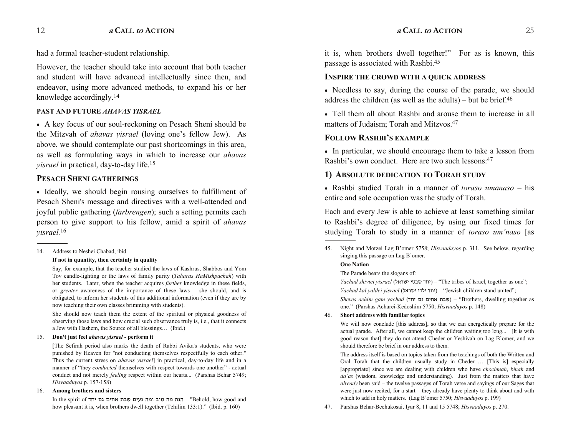had a formal teacher-student relationship.

However, the teacher should take into account that both teacher and student will have advanced intellectually since then, and endeavor, using more advanced methods, to expand his or her knowledge accordingly.14

# **PAST AND FUTURE** *AHAVAS YISRAEL*

� A key focus of our soul-reckoning on Pesach Sheni should be the Mitzvah of *ahavas yisrael* (loving one's fellow Jew). As above, we should contemplate our past shortcomings in this area, as well as formulating ways in which to increase our *ahavas yisrael* in practical, day-to-day life.15

# **PESACH SHENI GATHERINGS**

• Ideally, we should begin rousing ourselves to fulfillment of Pesach Sheni's message and directives with a well-attended and joyful public gathering (*farbrengen*); such a setting permits each person to give support to his fellow, amid a spirit of *ahavas yisrael.*<sup>16</sup>

#### 14. Address to Neshei Chabad, ibid.

------------------------------------------------

#### **If not in quantity, then certainly in quality**

Say, for example, that the teacher studied the laws of Kashrus, Shabbos and Yom Tov candle-lighting or the laws of family purity (*Taharas HaMishpachah*) with her students. Later, when the teacher acquires *further* knowledge in these fields, or *greater* awareness of the importance of these laws – she should, and is obligated, to inform her students of this additional information (even if they are by now teaching their own classes brimming with students).

She should now teach them the extent of the spiritual or physical goodness of observing those laws and how crucial such observance truly is, i.e., that it connects a Jew with Hashem, the Source of all blessings... (Ibid.)

#### 15. **Don't just feel** *ahavas yisrael* **- perform it**

[The Sefirah period also marks the death of Rabbi Avika's students, who were punished by Heaven for "not conducting themselves respectfully to each other." Thus the current stress on *ahavas yisrael*] in practical, day-to-day life and in a manner of "they *conducted* themselves with respect towards one another" - actual conduct and not merely *feeling* respect within our hearts... (Parshas Behar 5749; *Hisvaaduyos* p. 157-158)

#### 16. **Among brothers and sisters**

In the spirit of חנה מה טוב ומה נעים שבת אחים גם יחד "Behold, how good and how pleasant it is, when brothers dwell together (Tehilim 133:1)." (Ibid. p. 160)

it is, when brothers dwell together!" For as is known, this passage is associated with Rashbi.45

# **INSPIRE THE CROWD WITH A QUICK ADDRESS**

• Needless to say, during the course of the parade, we should address the children (as well as the adults) – but be brief.<sup>46</sup>

• Tell them all about Rashbi and arouse them to increase in all matters of Judaism; Torah and Mitzvos.47

# **FOLLOW RASHBI'S EXAMPLE**

� In particular, we should encourage them to take a lesson from Rashbi's own conduct. Here are two such lessons: $47$ 

# **1) ABSOLUTE DEDICATION TO TORAH STUDY**

• Rashbi studied Torah in a manner of *toraso umanaso* – his entire and sole occupation was the study of Torah.

Each and every Jew is able to achieve at least something similar to Rashbi's degree of diligence, by using our fixed times for studying Torah to study in a manner of *toraso um'naso* [as

## **One Nation**

#### The Parade bears the slogans of:

*Yachad shivtei yisrael* (����� ���� ���) The tribes of Israel, together as one;

*Yachad kal yaldei yisrael* (����� ���� ���) Jewish children stand united;

*Sheves achim gam yachad* (��� �� ���� ���) Brothers, dwelling together as one." (Parshas Acharei-Kedoshim 5750; *Hisvaaduyos* p. 148)

#### 46. **Short address with familiar topics**

We will now conclude [this address], so that we can energetically prepare for the actual parade. After all, we cannot keep the children waiting too long... [It is with good reason that] they do not attend Cheder or Yeshivah on Lag B'omer, and we should therefore be brief in our address to them.

The address itself is based on topics taken from the teachings of both the Written and Oral Torah that the children usually study in Cheder ... [This is] especially [appropriate] since we are dealing with children who have *chochmah*, *binah* and da'as (wisdom, knowledge and understanding). Just from the matters that have *already* been said – the twelve passages of Torah verse and sayings of our Sages that were just now recited, for a start  $-$  they already have plenty to think about and with which to add in holy matters. (Lag B'omer 5750; *Hisvaaduyos* p. 199)

47. Parshas Behar-Bechukosai, Iyar 8, 11 and 15 5748; *Hisvaaduyos* p. 270.

<sup>45.</sup> Night and Motzei Lag B'omer 5758; *Hisvaaduyos* p. 311. See below, regarding singing this passage on Lag B'omer.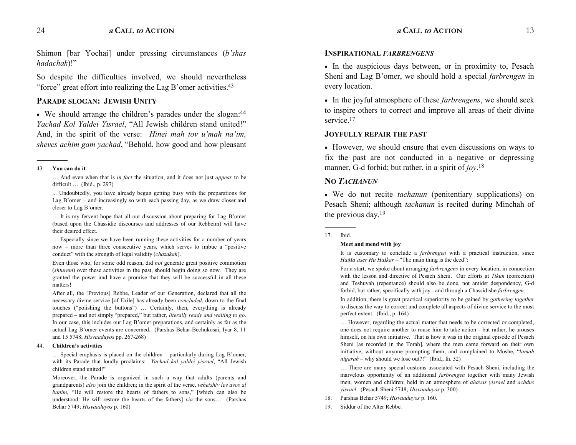Shimon [bar Yochai] under pressing circumstances (*b'shas hadachak*)!

So despite the difficulties involved, we should nevertheless "force" great effort into realizing the Lag B'omer activities. $43$ 

# **PARADE SLOGAN: JEWISH UNITY**

 $\bullet$  We should arrange the children's parades under the slogan:  $44$ *Yachad Kol Yaldei Yisrael*, "All Jewish children stand united!" And, in the spirit of the verse: *Hinei mah tov u'mah na'im*, *sheves achim gam yachad*, "Behold, how good and how pleasant

#### 43. **You can do it**

------------------------------------------------

 And even when that is *in fact* the situation, and it does not just *appear* to be difficult  $\ldots$  (Ibid., p. 297)

 ... Undoubtedly, you have already begun getting busy with the preparations for Lag B'omer  $-$  and increasingly so with each passing day, as we draw closer and closer to Lag B'omer.

... It is my fervent hope that all our discussion about preparing for Lag B'omer (based upon the Chassidic discourses and addresses of our Rebbeim) will have their desired effect.

 Especially since we have been running these activities for a number of years now - more than three consecutive years, which serves to imbue a "positive conduct" with the strength of legal validity (*chazakah*).

Even those who, for some odd reason, did *not* generate great positive commotion (*shturem*) over these activities in the past, should begin doing so now. They are granted the power and have a promise that they will be successful in all these matters!

After all, the [Previous] Rebbe, Leader of our Generation, declared that all the necessary divine service [of Exile] has already been *concluded*, down to the final touches ("polishing the buttons") ... Certainly, then, everything is already prepared – and not simply "prepared," but rather, *literally ready and waiting to go*. In our case, this includes our Lag B'omer preparations, and certainly as far as the actual Lag B'omer events are concerned. (Parshas Behar-Bechukosai, Iyar 8, 11 and 15 5748; *Hisvaaduyos* pp. 267-268)

#### 44. **Childrens activities**

 $\ldots$  Special emphasis is placed on the children – particularly during Lag B'omer, with its Parade that loudly proclaims: *Yachad kal yaldei yisrael*, "All Jewish children stand united!

Moreover, the Parade is organized in such a way that adults (parents and grandparents) *also* join the children; in the spirit of the verse, *veheishiv lev avos al banim*, "He will restore the hearts of fathers to sons," [which can also be understood: He will restore the hearts of the fathers] *via* the sons... (Parshas Behar 5749; *Hisvaaduyos* p. 160)

# **INSPIRATIONAL** *FARBRENGENS*

• In the auspicious days between, or in proximity to, Pesach Sheni and Lag B'omer, we should hold a special *farbrengen* in every location.

� In the joyful atmosphere of these *farbrengens*, we should seek to inspire others to correct and improve all areas of their divine service<sup>17</sup>

# **JOYFULLY REPAIR THE PAST**

� However, we should ensure that even discussions on ways to fix the past are not conducted in a negative or depressing manner, G-d forbid; but rather, in a spirit of *joy*. 18

# **NO** *TACHANUN*

� We do not recite *tachanun* (penitentiary supplications) on Pesach Sheni; although *tachanun* is recited during Minchah of the previous day.19

#### ------------------------------------------------ 17. Ibid.

#### **Meet and mend with joy**

It is customary to conclude a *farbrengen* with a practical instruction, since *HaMa'aser Hu Halkar* – "The main thing is the deed":

For a start, we spoke about arranging *farbrengens* in every location, in connection with the lesson and directive of Pesach Sheni. Our efforts at *Tikun* (correction) and Teshuvah (repentance) should also be done, not amidst despondency, G-d forbid, but rather, specifically with joy - and through a Chassidishe *farbrengen*.

In addition, there is great practical superiority to be gained by *gathering together* to discuss the way to correct and complete all aspects of divine service to the most perfect extent. (Ibid., p. 164)

... However, regarding the actual matter that needs to be corrected or completed, one does not require another to rouse him to take action - but rather, he arouses himself, on his own initiative. That is how it was in the original episode of Pesach Sheni [as recorded in the Torah], where the men came forward on their own initiative, without anyone prompting them, and complained to Moshe, "lamah  $nigarah$  – why should we lose out?!" (Ibid., fn. 32)

... There are many special customs associated with Pesach Sheni, including the marvelous opportunity of an additional *farbrengen* together with many Jewish men, women and children; held in an atmosphere of *ahavas yisrael* and *achdus yisrael*. (Pesach Sheni 5748; *Hisvaaduyos* p. 300)

- 18. Parshas Behar 5749; *Hisvaaduyos* p. 160.
- 19. Siddur of the Alter Rebbe.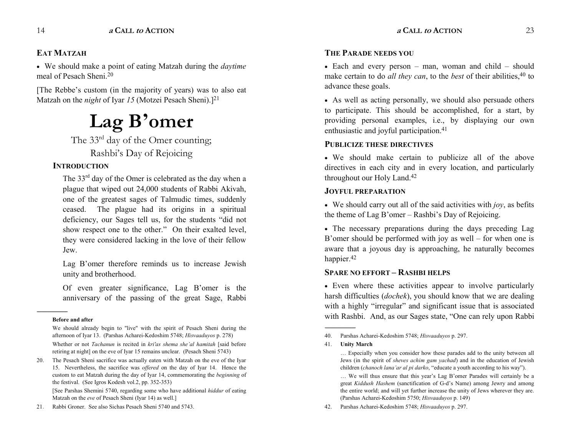# **EAT MATZAH**

� We should make a point of eating Matzah during the *daytime* meal of Pesach Sheni.20

[The Rebbe's custom (in the majority of years) was to also eat Matzah on the *night* of Iyar 15 (Motzei Pesach Sheni).<sup>[21</sup>]

# **Lag Bomer**

The 33<sup>rd</sup> day of the Omer counting; Rashbi's Day of Rejoicing

# **INTRODUCTION**

The  $33<sup>rd</sup>$  day of the Omer is celebrated as the day when a plague that wiped out 24,000 students of Rabbi Akivah, one of the greatest sages of Talmudic times, suddenly ceased. The plague had its origins in a spiritual deficiency, our Sages tell us, for the students "did not show respect one to the other." On their exalted level, they were considered lacking in the love of their fellow Jew.

Lag B'omer therefore reminds us to increase Jewish unity and brotherhood.

Of even greater significance, Lag B'omer is the anniversary of the passing of the great Sage, Rabbi

#### **Before and after**

------------------------------------------------

Whether or not *Tachanun* is recited in *kri'as shema she'al hamitah* [said before retiring at night] on the eve of Iyar 15 remains unclear. (Pesach Sheni 5743)

20. The Pesach Sheni sacrifice was actually eaten with Matzah on the eve of the Iyar 15. Nevertheless, the sacrifice was *offered* on the day of Iyar 14. Hence the custom to eat Matzah during the day of Iyar 14, commemorating the *beginning* of the festival. (See Igros Kodesh vol.2, pp. 352-353)

 [See Parshas Shemini 5740, regarding some who have additional *hiddur* of eating Matzah on the *eve* of Pesach Sheni (Iyar 14) as well.]

21. Rabbi Groner. See also Sichas Pesach Sheni 5740 and 5743.

# **THE PARADE NEEDS YOU**

 $\bullet$  Each and every person – man, woman and child – should make certain to do *all they can*, to the *best* of their abilities,<sup>40</sup> to advance these goals.

� As well as acting personally, we should also persuade others to participate. This should be accomplished, for a start, by providing personal examples, i.e., by displaying our own enthusiastic and joyful participation.41

# **PUBLICIZE THESE DIRECTIVES**

� We should make certain to publicize all of the above directives in each city and in every location, and particularly throughout our Holy Land.42

# **JOYFUL PREPARATION**

 $\bullet$  We should carry out all of the said activities with *joy*, as befits the theme of Lag B'omer  $-$  Rashbi's Day of Rejoicing.

• The necessary preparations during the days preceding Lag B'omer should be performed with joy as well  $-$  for when one is aware that a joyous day is approaching, he naturally becomes happier.<sup>42</sup>

# **SPARE NO EFFORT - RASHBI HELPS**

• Even where these activities appear to involve particularly harsh difficulties (*dochek*), you should know that we are dealing with a highly "irregular" and significant issue that is associated with Rashbi. And, as our Sages state, "One can rely upon Rabbi

41. **Unity March**

------------------------------------------------

We should already begin to "live" with the spirit of Pesach Sheni during the afternoon of Iyar 13. (Parshas Acharei-Kedoshim 5748; *Hisvaaduyos* p. 278)

<sup>40.</sup> Parshas Acharei-Kedoshim 5748; *Hisvaaduyos* p. 297.

Especially when you consider how these parades add to the unity between all Jews (in the spirit of *sheves achim gam yachad*) and in the education of Jewish children (*chanoch lana'ar al pi darko*, "educate a youth according to his way").

<sup>...</sup> We will thus ensure that this year's Lag B'omer Parades will certainly be a great *Kiddush Hashem* (sanctification of G-d's Name) among Jewry and among the entire world; and will yet further increase the unity of Jews wherever they are. (Parshas Acharei-Kedoshim 5750; *Hisvaaduyos* p. 149)

<sup>42.</sup> Parshas Acharei-Kedoshim 5748; *Hisvaaduyos* p. 297.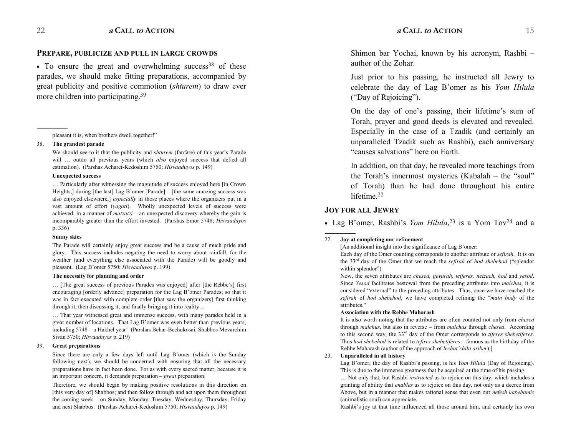# **PREPARE, PUBLICIZE AND PULL IN LARGE CROWDS**

 $\bullet$  To ensure the great and overwhelming success<sup>38</sup> of these parades, we should make fitting preparations, accompanied by great publicity and positive commotion (*shturem*) to draw ever more children into participating.<sup>39</sup>

----------------------------------------------- pleasant it is, when brothers dwell together!

#### 38. **The grandest parade**

We should see to it that the publicity and *shturem* (fanfare) of this year's Parade will ... outdo all previous years (which *also* enjoyed success that defied all estimation). (Parshas Acharei-Kedoshim 5750; *Hisvaaduyos* p. 149)

#### **Unexpected success**

... Particularly after witnessing the magnitude of success enjoyed here [in Crown Heights,] during [the last] Lag B'omer [Parade]  $-$  [the same amazing success was also enjoyed elsewhere,] *especially* in those places where the organizers put in a vast amount of effort (*yagati*). Wholly unexpected levels of success were achieved, in a manner of  $\textit{matzatzi}$  – an unexpected discovery whereby the gain is incomparably greater than the effort invested. (Parshas Emor 5748; *Hisvaaduyos* p. 336)

#### **Sunny skies**

The Parade will certainly enjoy great success and be a cause of much pride and glory. This success includes negating the need to worry about rainfall, for the weather (and everything else associated with the Parade) will be goodly and pleasant. (Lag B'omer 5750; *Hisvaaduyos* p. 199)

#### **The necessity for planning and order**

... [The great success of previous Parades was enjoyed] after [the Rebbe's] first encouraging [orderly advance] preparation for the Lag B'omer Parades; so that it was in fact executed with complete order [that saw the organizers] first thinking through it, then discussing it, and finally bringing it into reality

... That year witnessed great and immense success, with many parades held in a great number of locations. That Lag B'omer was even better than previous years, including 5748 a Hakhel year! (Parshas Behar-Bechukosai, Shabbos Mevarchim Sivan 5750; *Hisvaaduyos* p. 219)

#### 39. **Great preparations**

Since there are only a few days left until Lag B'omer (which is the Sunday following next), we should be concerned with ensuring that all the necessary preparations have in fact been done. For as with every sacred matter, because it is an important concern, it demands preparation *great* preparation.

Therefore, we should begin by making positive resolutions in this direction on [this very day of] Shabbos; and then follow through and act upon them throughout the coming week - on Sunday, Monday, Tuesday, Wednesday, Thursday, Friday and next Shabbos. (Parshas Acharei-Kedoshim 5750; *Hisvaaduyos* p. 149)

Shimon bar Yochai, known by his acronym, Rashbi author of the Zohar.

Just prior to his passing, he instructed all Jewry to celebrate the day of Lag B'omer as his *Yom Hilula* ("Day of Rejoicing").

On the day of one's passing, their lifetime's sum of Torah, prayer and good deeds is elevated and revealed. Especially in the case of a Tzadik (and certainly an unparalleled Tzadik such as Rashbi), each anniversary "causes salvations" here on Earth.

In addition, on that day, he revealed more teachings from the Torah's innermost mysteries (Kabalah  $-$  the "soul" of Torah) than he had done throughout his entire lifetime<sup>22</sup>

# **JOY FOR ALL JEWRY**

------------------------------------------------

• Lag B'omer, Rashbi's *Yom Hilula*,<sup>23</sup> is a Yom Tov<sup>24</sup> and a

#### 22. **Joy at completing our refinement**

[An additional insight into the significance of Lag B'omer:

Each day of the Omer counting corresponds to another attribute or *sefirah*. It is on the  $33<sup>rd</sup>$  day of the Omer that we reach the *sefirah* of *hod shebehod* ("splendor" within splendor").

Now, the seven attributes are *chesed, gevurah, teiferes, netzach, hod* and *yesod*. Since *Yesod* facilitates bestowal from the preceding attributes into *malchus*, it is considered "external" to the preceding attributes. Thus, once we have reached the *sefirah* of *hod shebehod*, we have completed refining the "main body of the attributes.

#### **Association with the Rebbe Maharash**

It is also worth noting that the attributes are often counted not only from *chesed*  through *malchus*, but also in reverse from *malchus* through *chesed*. According to this second way, the 33rd day of the Omer corresponds to *tiferes shebetiferes*. Thus *hod shebehod* is related to *tefires shebetiferes* - famous as the birthday of the Rebbe Maharash (author of the approach of *lechat'chila ariber*).]

#### 23. **Unparalleled in all history**

Lag B'omer, the day of Rashbi's passing, is his *Yom Hilula* (Day of Rejoicing). This is due to the immense greatness that he acquired at the time of his passing.

 Not only that, but Rashbi *instructed* us to rejoice on this day; which includes a granting of ability that *enables* us to rejoice on this day, not only as a decree from Above, but in a manner that makes rational sense that even our *nefesh habehamis*  (animalistic soul) can appreciate.

Rashbi's joy at that time influenced all those around him, and certainly his own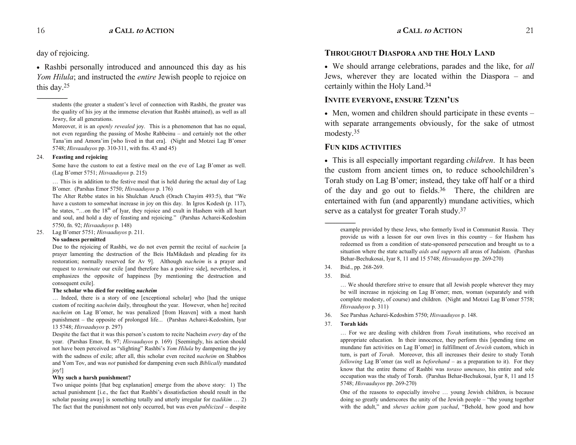day of rejoicing.

------------------------------------------------

� Rashbi personally introduced and announced this day as his *Yom Hilula*; and instructed the *entire* Jewish people to rejoice on this day.25

#### 24. **Feasting and rejoicing**

Some have the custom to eat a festive meal on the eve of Lag B'omer as well. (Lag B'omer 5751; *Hisvaaduyos* p. 215)

... This is in addition to the festive meal that is held during the actual day of Lag B'omer. (Parshas Emor 5750; *Hisvaaduyos* p. 176)

The Alter Rebbe states in his Shulchan Aruch (Orach Chayim 493:5), that "We have a custom to somewhat increase in joy on this day. In Igros Kodesh (p. 117), he states, "...on the  $18<sup>th</sup>$  of Iyar, they rejoice and exult in Hashem with all heart and soul, and hold a day of feasting and rejoicing." (Parshas Acharei-Kedoshim 5750, fn. 92; *Hisvaaduyos* p. 148)

25. Lag B'omer 5751; *Hisvaaduyos* p. 211.

#### **No sadness permitted**

Due to the rejoicing of Rashbi, we do not even permit the recital of *nacheim* [a prayer lamenting the destruction of the Beis HaMikdash and pleading for its restoration; normally reserved for Av 9]. Although *nacheim* is a prayer and request to *terminate* our exile [and therefore has a positive side], nevertheless, it emphasizes the opposite of happiness [by mentioning the destruction and consequent exile].

#### **The scholar who died for reciting** *nacheim*

... Indeed, there is a story of one [exceptional scholar] who [had the unique custom of reciting *nacheim* daily, throughout the year. However, when he] recited *nacheim* on Lag B'omer, he was penalized [from Heaven] with a most harsh punishment – the opposite of prolonged life... (Parshas Acharei-Kedoshim, Iyar 13 5748; *Hisvaaduyos* p. 297)

Despite the fact that it was this person's custom to recite Nacheim *every* day of the year. (Parshas Emor, fn. 97; *Hisvaaduyos* p. 169) [Seemingly, his action should not have been perceived as "slighting" Rashbi's *Yom Hilula* by dampening the joy with the sadness of exile; after all, this scholar even recited *nacheim* on Shabbos and Yom Tov, and was *not* punished for dampening even such *Biblically* mandated joy!]

#### **Why such a harsh punishment?**

Two unique points [that beg explanation] emerge from the above story: 1) The actual punishment [i.e., the fact that Rashbi's dissatisfaction should result in the scholar passing away] is something totally and utterly irregular for *tzadikim* ... 2) The fact that the punishment not only occurred, but was even *publicized* - despite

# **THROUGHOUT DIASPORA AND THE HOLY LAND**

� We should arrange celebrations, parades and the like, for *all* Jews, wherever they are located within the Diaspora – and certainly within the Holy Land.34

# **INVITE EVERYONE, ENSURE TZENI'US**

 $\bullet$  Men, women and children should participate in these events – with separate arrangements obviously, for the sake of utmost modesty.35

# **FUN KIDS ACTIVITIES**

� This is all especially important regarding *children*. It has been the custom from ancient times on, to reduce schoolchildren's Torah study on Lag B'omer; instead, they take off half or a third of the day and go out to fields.36 There, the children are entertained with fun (and apparently) mundane activities, which serve as a catalyst for greater Torah study.37

34. Ibid., pp. 268-269.

35. Ibid.

------------------------------------------------

 We should therefore strive to ensure that all Jewish people wherever they may be will increase in rejoicing on Lag B'omer; men, woman (separately and with complete modesty, of course) and children. (Night and Motzei Lag B'omer 5758; *Hisvaaduyos* p. 311)

- 36. See Parshas Acharei-Kedoshim 5750; *Hisvaaduyos* p. 148.
- 37. **Torah kids**

... For we are dealing with children from *Torah* institutions, who received an appropriate education. In their innocence, they perform this [spending time on mundane fun activities on Lag B'omer] in fulfillment of *Jewish* custom, which in turn, is part of *Torah*. Moreover, this all increases their desire to study Torah *following* Lag B'omer (as well as *beforehand*  $-$  as a preparation to it). For they know that the entire theme of Rashbi was *toraso umenaso*, his entire and sole occupation was the study of Torah. (Parshas Behar-Bechukosai, Iyar 8, 11 and 15 5748; *Hisvaaduyos* pp. 269-270)

One of the reasons to especially involve ... young Jewish children, is because doing so greatly underscores the unity of the Jewish people  $-$  "the young together" with the adult," and *sheves achim gam yachad*, "Behold, how good and how

students (the greater a student's level of connection with Rashbi, the greater was the quality of his joy at the immense elevation that Rashbi attained), as well as all Jewry, for all generations.

Moreover, it is an *openly revealed* joy. This is a phenomenon that has no equal, not even regarding the passing of Moshe Rabbeinu – and certainly not the other Tana'im and Amora'im [who lived in that era]. (Night and Motzei Lag B'omer 5748; *Hisvaaduyos* pp. 310-311, with fns. 43 and 45)

example provided by these Jews, who formerly lived in Communist Russia. They provide us with a lesson for our own lives in this country  $-$  for Hashem has redeemed us from a condition of state-sponsored persecution and brought us to a situation where the state actually *aids and supports* all areas of Judaism. (Parshas Behar-Bechukosai, Iyar 8, 11 and 15 5748; *Hisvaaduyos* pp. 269-270)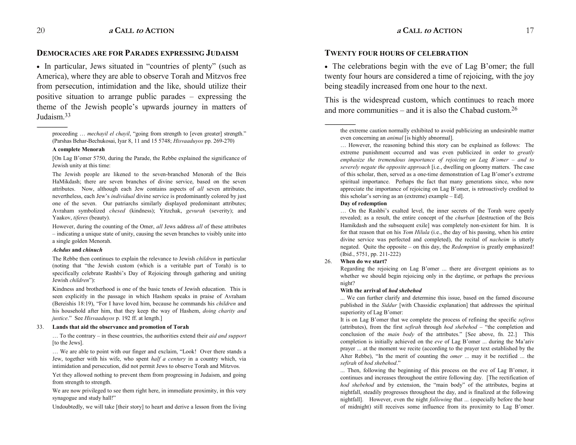------------------------------------------------

# **DEMOCRACIES ARE FOR PARADES EXPRESSING JUDAISM**

• In particular, Jews situated in "countries of plenty" (such as America), where they are able to observe Torah and Mitzvos free from persecution, intimidation and the like, should utilize their positive situation to arrange public parades  $-$  expressing the theme of the Jewish people's upwards journey in matters of Judaism<sup>33</sup>

proceeding ... *mechayil el chayil*, "going from strength to [even greater] strength." (Parshas Behar-Bechukosai, Iyar 8, 11 and 15 5748; *Hisvaaduyos* pp. 269-270)

#### **A complete Menorah**

[On Lag B'omer 5750, during the Parade, the Rebbe explained the significance of Jewish unity at this time:

The Jewish people are likened to the seven-branched Menorah of the Beis HaMikdash; there are seven branches of divine service, based on the seven attributes. Now, although each Jew contains aspects of *all* seven attributes, nevertheless, each Jew's *individual* divine service is predominantly colored by just one of the seven. Our patriarchs similarly displayed predominant attributes; Avraham symbolized *chesed* (kindness); Yitzchak, *gevurah* (severity); and Yaakov, *tiferes* (beauty).

However, during the counting of the Omer, *all* Jews address *all* of these attributes indicating a unique state of unity, causing the seven branches to visibly unite into a single golden Menorah.

#### *Achdus* **and** *chinuch*

The Rebbe then continues to explain the relevance to Jewish *children* in particular (noting that "the Jewish custom (which is a veritable part of Torah) is to specifically celebrate Rashbi's Day of Rejoicing through gathering and uniting Jewish *children*):

Kindness and brotherhood is one of the basic tenets of Jewish education. This is seen explicitly in the passage in which Hashem speaks in praise of Avraham (Bereishis 18:19), "For I have loved him, because he commands his *children* and his household after him, that they keep the way of Hashem, *doing charity and justice.*" See *Hisvaaduyos* p. 192 ff. at length.]

#### 33. **Lands that aid the observance and promotion of Torah**

... To the contrary – in these countries, the authorities extend their *aid and support* [to the Jews].

... We are able to point with our finger and exclaim, "Look! Over there stands a Jew, together with his wife, who spent *half a century* in a country which, via intimidation and persecution, did not permit Jews to observe Torah and Mitzvos.

Yet they allowed nothing to prevent them from progressing in Judaism, and going from strength to strength.

We are now privileged to see them right here, in immediate proximity, in this very synagogue and study hall!

Undoubtedly, we will take [their story] to heart and derive a lesson from the living

# **TWENTY FOUR HOURS OF CELEBRATION**

 $\bullet$  The celebrations begin with the eve of Lag B'omer; the full twenty four hours are considered a time of rejoicing, with the joy being steadily increased from one hour to the next.

This is the widespread custom, which continues to reach more and more communities  $-$  and it is also the Chabad custom.<sup>26</sup>

#### **Day of redemption**

------------------------------------------------

... On the Rashbi's exalted level, the inner secrets of the Torah were openly revealed; as a result, the entire concept of the *churban* [destruction of the Beis Hamikdash and the subsequent exile] was completely non-existent for him. It is for that reason that on his *Yom Hilula* (i.e., the day of his passing, when his entire divine service was perfected and completed), the recital of *nacheim* is utterly negated. Quite the opposite – on this day, the *Redemption* is greatly emphasized! (Ibid., 5751, pp. 211-222)

#### 26. **When do we start?**

Regarding the rejoicing on Lag B'omer ... there are divergent opinions as to whether we should begin rejoicing only in the daytime, or perhaps the previous night?

#### **With the arrival of** *hod shebehod*

... We can further clarify and determine this issue, based on the famed discourse published in the *Siddur* [with Chassidic explanation] that addresses the spiritual superiority of Lag B'omer:

It is on Lag B'omer that we complete the process of refining the specific *sefiros* (attributes), from the first *sefirah* through *hod shebehod*  $-$  "the completion and conclusion of the *main body* of the attributes." [See above, fn. 22.] This completion is initially achieved on the *eve* of Lag B'omer ... during the Ma'ariv prayer ... at the moment we recite (according to the prayer text established by the Alter Rebbe), "In the merit of counting the *omer* ... may it be rectified ... the *sefirah* of *hod shebehod*.

 $\ldots$  Then, following the beginning of this process on the eve of Lag B'omer, it continues and increases throughout the entire following day. [The rectification of *hod shebehod* and by extension, the "main body" of the attributes, begins at nightfall, steadily progresses throughout the day, and is finalized at the following nightfall]. However, even the night *following* that ... (especially before the hour of midnight) still receives some influence from its proximity to Lag B'omer.

the extreme caution normally exhibited to avoid publicizing an undesirable matter even concerning an *animal* [is highly abnormal].

<sup>...</sup> However, the reasoning behind this story can be explained as follows: The extreme punishment occurred and was even publicized in order to *greatly emphasize the tremendous importance of rejoicing on Lag B'omer – and to severely negate the opposite approach* [i.e., dwelling on gloomy matters. The case of this scholar, then, served as a one-time demonstration of Lag B'omer's extreme spiritual importance. Perhaps the fact that many generations since, who now appreciate the importance of rejoicing on Lag B'omer, is retroactively credited to this scholar's serving as an (extreme) example  $-$  Ed].